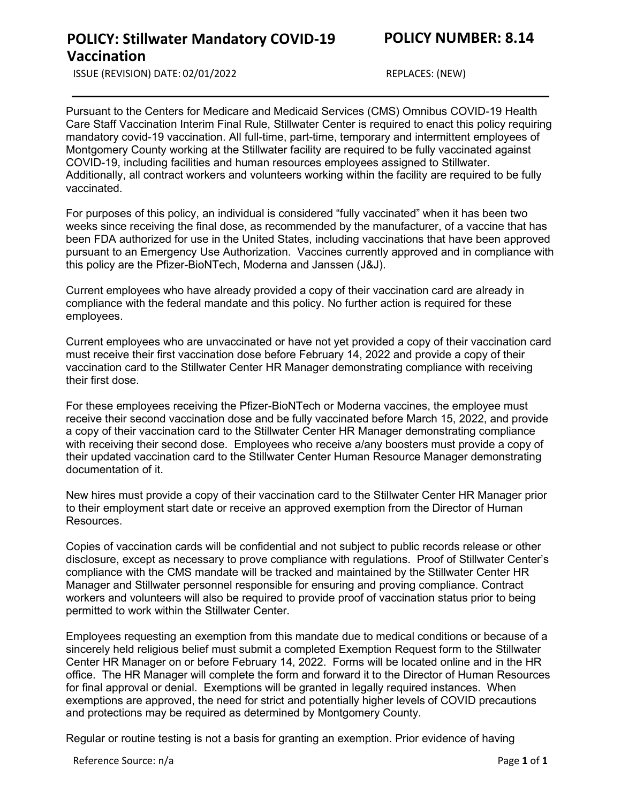**POLICY: Stillwater Mandatory COVID-19** 

ISSUE (REVISION) DATE: 02/01/2022 REPLACES: (NEW)

**Vaccination**

Pursuant to the Centers for Medicare and Medicaid Services (CMS) Omnibus COVID-19 Health Care Staff Vaccination Interim Final Rule, Stillwater Center is required to enact this policy requiring mandatory covid-19 vaccination. All full-time, part-time, temporary and intermittent employees of Montgomery County working at the Stillwater facility are required to be fully vaccinated against COVID-19, including facilities and human resources employees assigned to Stillwater. Additionally, all contract workers and volunteers working within the facility are required to be fully vaccinated.

For purposes of this policy, an individual is considered "fully vaccinated" when it has been two weeks since receiving the final dose, as recommended by the manufacturer, of a vaccine that has been FDA authorized for use in the United States, including vaccinations that have been approved pursuant to an Emergency Use Authorization. Vaccines currently approved and in compliance with this policy are the Pfizer-BioNTech, Moderna and Janssen (J&J).

Current employees who have already provided a copy of their vaccination card are already in compliance with the federal mandate and this policy. No further action is required for these employees.

Current employees who are unvaccinated or have not yet provided a copy of their vaccination card must receive their first vaccination dose before February 14, 2022 and provide a copy of their vaccination card to the Stillwater Center HR Manager demonstrating compliance with receiving their first dose.

For these employees receiving the Pfizer-BioNTech or Moderna vaccines, the employee must receive their second vaccination dose and be fully vaccinated before March 15, 2022, and provide a copy of their vaccination card to the Stillwater Center HR Manager demonstrating compliance with receiving their second dose. Employees who receive a/any boosters must provide a copy of their updated vaccination card to the Stillwater Center Human Resource Manager demonstrating documentation of it.

New hires must provide a copy of their vaccination card to the Stillwater Center HR Manager prior to their employment start date or receive an approved exemption from the Director of Human Resources.

Copies of vaccination cards will be confidential and not subject to public records release or other disclosure, except as necessary to prove compliance with regulations. Proof of Stillwater Center's compliance with the CMS mandate will be tracked and maintained by the Stillwater Center HR Manager and Stillwater personnel responsible for ensuring and proving compliance. Contract workers and volunteers will also be required to provide proof of vaccination status prior to being permitted to work within the Stillwater Center.

Employees requesting an exemption from this mandate due to medical conditions or because of a sincerely held religious belief must submit a completed Exemption Request form to the Stillwater Center HR Manager on or before February 14, 2022. Forms will be located online and in the HR office. The HR Manager will complete the form and forward it to the Director of Human Resources for final approval or denial. Exemptions will be granted in legally required instances. When exemptions are approved, the need for strict and potentially higher levels of COVID precautions and protections may be required as determined by Montgomery County.

Regular or routine testing is not a basis for granting an exemption. Prior evidence of having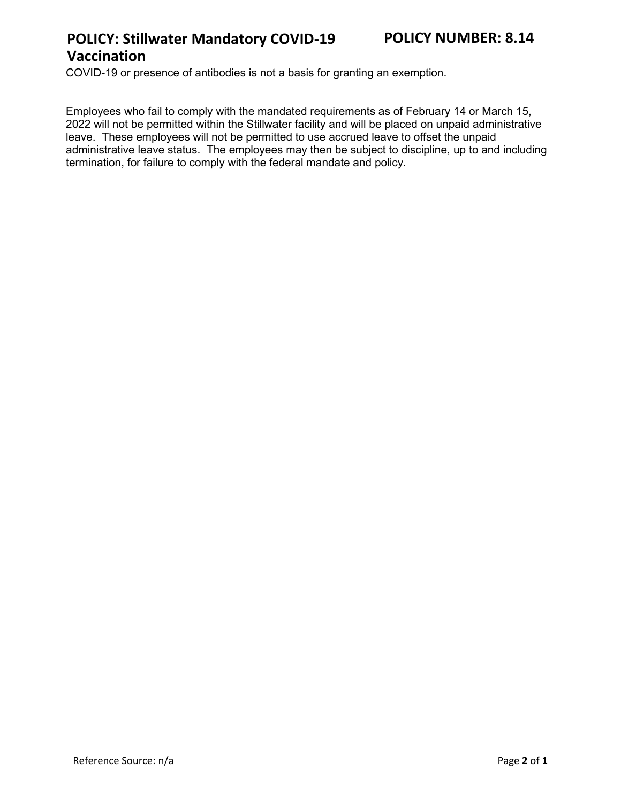# **POLICY: Stillwater Mandatory COVID-19 Vaccination**

COVID-19 or presence of antibodies is not a basis for granting an exemption.

Employees who fail to comply with the mandated requirements as of February 14 or March 15, 2022 will not be permitted within the Stillwater facility and will be placed on unpaid administrative leave. These employees will not be permitted to use accrued leave to offset the unpaid administrative leave status. The employees may then be subject to discipline, up to and including termination, for failure to comply with the federal mandate and policy.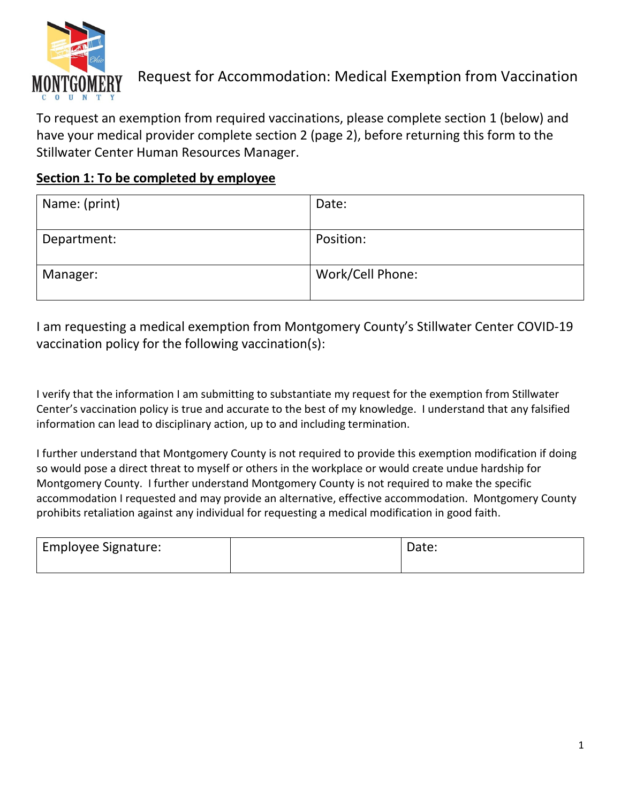

# Request for Accommodation: Medical Exemption from Vaccination

To request an exemption from required vaccinations, please complete section 1 (below) and have your medical provider complete section 2 (page 2), before returning this form to the Stillwater Center Human Resources Manager.

#### **Section 1: To be completed by employee**

| Name: (print) | Date:            |
|---------------|------------------|
| Department:   | Position:        |
| Manager:      | Work/Cell Phone: |

I am requesting a medical exemption from Montgomery County's Stillwater Center COVID-19 vaccination policy for the following vaccination(s):

I verify that the information I am submitting to substantiate my request for the exemption from Stillwater Center's vaccination policy is true and accurate to the best of my knowledge. I understand that any falsified information can lead to disciplinary action, up to and including termination.

I further understand that Montgomery County is not required to provide this exemption modification if doing so would pose a direct threat to myself or others in the workplace or would create undue hardship for Montgomery County. I further understand Montgomery County is not required to make the specific accommodation I requested and may provide an alternative, effective accommodation. Montgomery County prohibits retaliation against any individual for requesting a medical modification in good faith.

| <b>Employee Signature:</b> | Date: |
|----------------------------|-------|
|                            |       |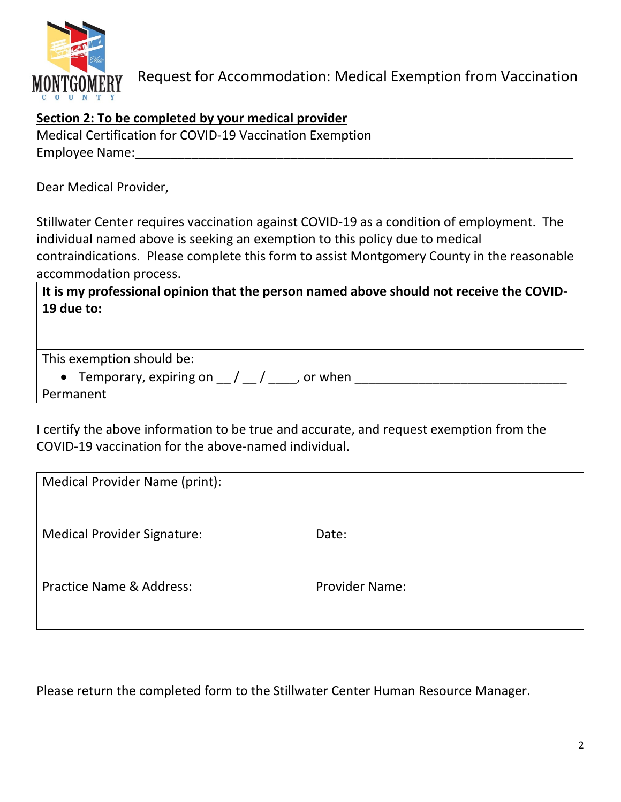

## **Section 2: To be completed by your medical provider**

| Medical Certification for COVID-19 Vaccination Exemption |  |
|----------------------------------------------------------|--|
| Employee Name:                                           |  |

Dear Medical Provider,

Stillwater Center requires vaccination against COVID-19 as a condition of employment. The individual named above is seeking an exemption to this policy due to medical contraindications. Please complete this form to assist Montgomery County in the reasonable accommodation process.

**It is my professional opinion that the person named above should not receive the COVID-19 due to:**

This exemption should be:

• Temporary, expiring on \_\_ / \_\_ / \_\_\_\_, or when \_\_\_\_\_\_\_\_\_\_\_\_\_\_\_\_\_\_\_\_\_\_\_\_\_\_\_\_\_\_ Permanent

I certify the above information to be true and accurate, and request exemption from the COVID-19 vaccination for the above-named individual.

| Medical Provider Name (print):      |                       |
|-------------------------------------|-----------------------|
| <b>Medical Provider Signature:</b>  | Date:                 |
| <b>Practice Name &amp; Address:</b> | <b>Provider Name:</b> |

Please return the completed form to the Stillwater Center Human Resource Manager.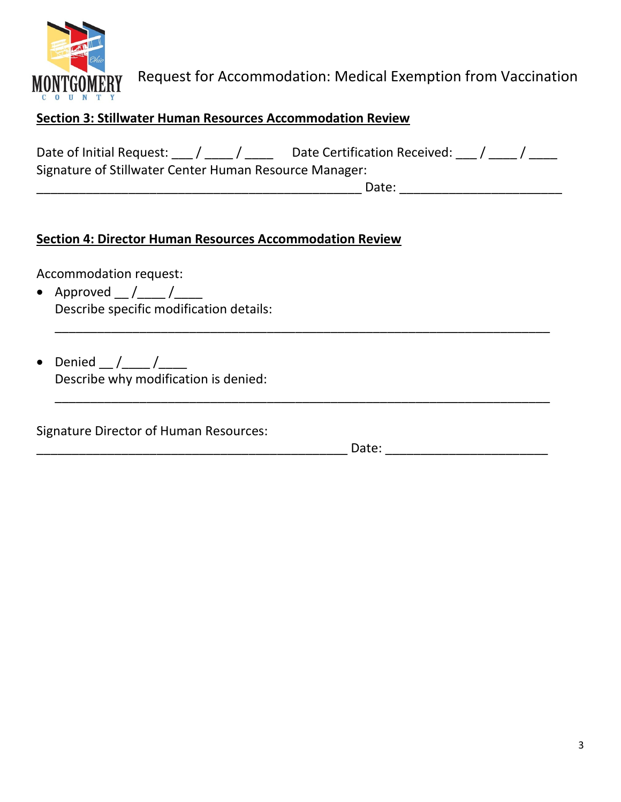

## **Section 3: Stillwater Human Resources Accommodation Review**

| Date of Initial Request: / /                           | Date Certification Received: / / |  |
|--------------------------------------------------------|----------------------------------|--|
| Signature of Stillwater Center Human Resource Manager: |                                  |  |
|                                                        | Date:                            |  |

\_\_\_\_\_\_\_\_\_\_\_\_\_\_\_\_\_\_\_\_\_\_\_\_\_\_\_\_\_\_\_\_\_\_\_\_\_\_\_\_\_\_\_\_\_\_\_\_\_\_\_\_\_\_\_\_\_\_\_\_\_\_\_\_\_\_\_\_\_\_

\_\_\_\_\_\_\_\_\_\_\_\_\_\_\_\_\_\_\_\_\_\_\_\_\_\_\_\_\_\_\_\_\_\_\_\_\_\_\_\_\_\_\_\_\_\_\_\_\_\_\_\_\_\_\_\_\_\_\_\_\_\_\_\_\_\_\_\_\_\_

#### **Section 4: Director Human Resources Accommodation Review**

Accommodation request:

- Approved  $_{\_}/_{\_}/$ Describe specific modification details:
- Denied  $/$  / Describe why modification is denied:

Signature Director of Human Resources:

\_\_\_\_\_\_\_\_\_\_\_\_\_\_\_\_\_\_\_\_\_\_\_\_\_\_\_\_\_\_\_\_\_\_\_\_\_\_\_\_\_\_\_\_ Date: \_\_\_\_\_\_\_\_\_\_\_\_\_\_\_\_\_\_\_\_\_\_\_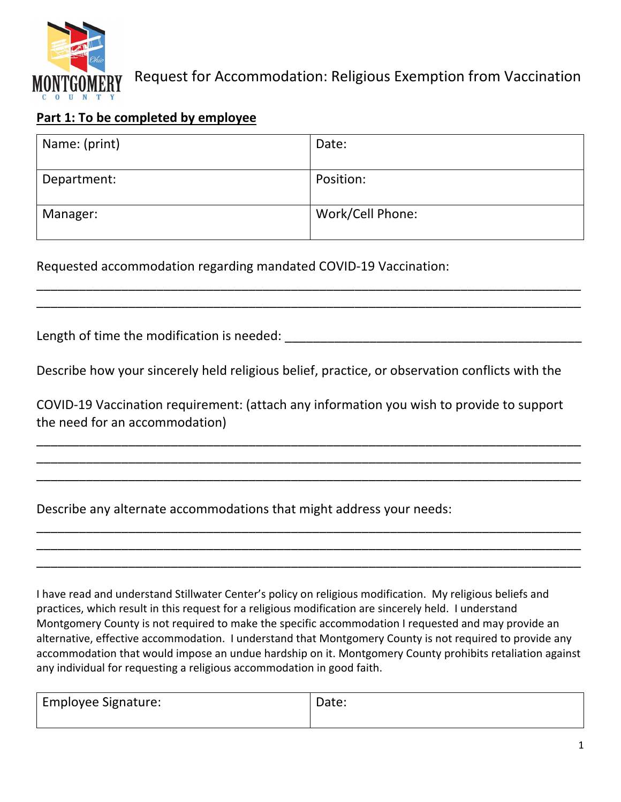

# Request for Accommodation: Religious Exemption from Vaccination

### **Part 1: To be completed by employee**

| Name: (print) | Date:            |
|---------------|------------------|
| Department:   | Position:        |
| Manager:      | Work/Cell Phone: |

\_\_\_\_\_\_\_\_\_\_\_\_\_\_\_\_\_\_\_\_\_\_\_\_\_\_\_\_\_\_\_\_\_\_\_\_\_\_\_\_\_\_\_\_\_\_\_\_\_\_\_\_\_\_\_\_\_\_\_\_\_\_\_\_\_\_\_\_\_\_\_\_\_\_\_\_\_ \_\_\_\_\_\_\_\_\_\_\_\_\_\_\_\_\_\_\_\_\_\_\_\_\_\_\_\_\_\_\_\_\_\_\_\_\_\_\_\_\_\_\_\_\_\_\_\_\_\_\_\_\_\_\_\_\_\_\_\_\_\_\_\_\_\_\_\_\_\_\_\_\_\_\_\_\_

Requested accommodation regarding mandated COVID‐19 Vaccination:

Length of time the modification is needed:  $\blacksquare$ 

Describe how your sincerely held religious belief, practice, or observation conflicts with the

COVID‐19 Vaccination requirement: (attach any information you wish to provide to support the need for an accommodation)

\_\_\_\_\_\_\_\_\_\_\_\_\_\_\_\_\_\_\_\_\_\_\_\_\_\_\_\_\_\_\_\_\_\_\_\_\_\_\_\_\_\_\_\_\_\_\_\_\_\_\_\_\_\_\_\_\_\_\_\_\_\_\_\_\_\_\_\_\_\_\_\_\_\_\_\_\_ \_\_\_\_\_\_\_\_\_\_\_\_\_\_\_\_\_\_\_\_\_\_\_\_\_\_\_\_\_\_\_\_\_\_\_\_\_\_\_\_\_\_\_\_\_\_\_\_\_\_\_\_\_\_\_\_\_\_\_\_\_\_\_\_\_\_\_\_\_\_\_\_\_\_\_\_\_ \_\_\_\_\_\_\_\_\_\_\_\_\_\_\_\_\_\_\_\_\_\_\_\_\_\_\_\_\_\_\_\_\_\_\_\_\_\_\_\_\_\_\_\_\_\_\_\_\_\_\_\_\_\_\_\_\_\_\_\_\_\_\_\_\_\_\_\_\_\_\_\_\_\_\_\_\_

\_\_\_\_\_\_\_\_\_\_\_\_\_\_\_\_\_\_\_\_\_\_\_\_\_\_\_\_\_\_\_\_\_\_\_\_\_\_\_\_\_\_\_\_\_\_\_\_\_\_\_\_\_\_\_\_\_\_\_\_\_\_\_\_\_\_\_\_\_\_\_\_\_\_\_\_\_ \_\_\_\_\_\_\_\_\_\_\_\_\_\_\_\_\_\_\_\_\_\_\_\_\_\_\_\_\_\_\_\_\_\_\_\_\_\_\_\_\_\_\_\_\_\_\_\_\_\_\_\_\_\_\_\_\_\_\_\_\_\_\_\_\_\_\_\_\_\_\_\_\_\_\_\_\_ \_\_\_\_\_\_\_\_\_\_\_\_\_\_\_\_\_\_\_\_\_\_\_\_\_\_\_\_\_\_\_\_\_\_\_\_\_\_\_\_\_\_\_\_\_\_\_\_\_\_\_\_\_\_\_\_\_\_\_\_\_\_\_\_\_\_\_\_\_\_\_\_\_\_\_\_\_

Describe any alternate accommodations that might address your needs:

I have read and understand Stillwater Center's policy on religious modification. My religious beliefs and practices, which result in this request for a religious modification are sincerely held. I understand Montgomery County is not required to make the specific accommodation I requested and may provide an alternative, effective accommodation. I understand that Montgomery County is not required to provide any accommodation that would impose an undue hardship on it. Montgomery County prohibits retaliation against any individual for requesting a religious accommodation in good faith.

| <b>Employee Signature:</b> | Date: |
|----------------------------|-------|
|                            |       |